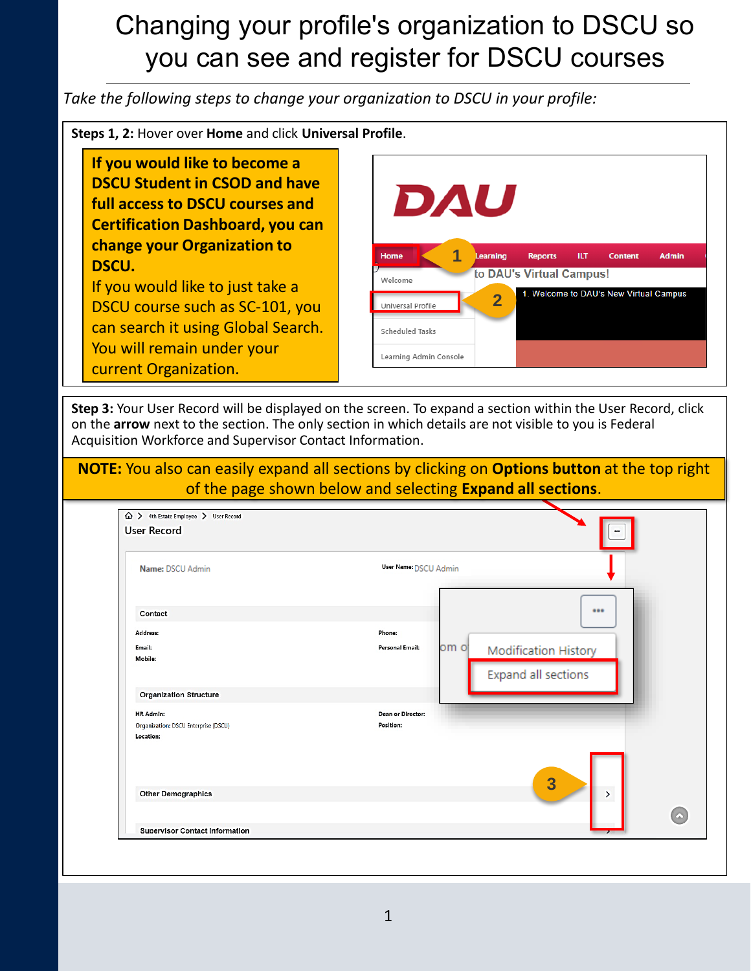#### Changing your profile's organization to DSCU so you can see and register for DSCU courses

*Take the following steps to change your organization to DSCU in your profile:*

**Steps 1, 2: Hover over Home and click Universal Profile** 

**If you would like to become a DSCU Student in CSOD and have full access to DSCU courses and Certification Dashboard, you can change your Organization to DSCU.**

If you would like to just take a DSCU course such as SC-101, you can search it using Global Search. You will remain under your current Organization.

| DAU                    |                         |                          |      |                                        |              |
|------------------------|-------------------------|--------------------------|------|----------------------------------------|--------------|
|                        |                         |                          |      |                                        |              |
| Home                   | 1<br>Learning           | <b>Reports</b>           | ILT. | <b>Content</b>                         | <b>Admin</b> |
| Welcome                |                         | to DAU's Virtual Campus! |      |                                        |              |
| Universal Profile      | $\overline{\mathbf{2}}$ |                          |      | 1. Welcome to DAU's New Virtual Campus |              |
| Scheduled Tasks        |                         |                          |      |                                        |              |
| Learning Admin Console |                         |                          |      |                                        |              |

**Step 3:** Your User Record will be displayed on the screen. To expand a section within the User Record, click on the **arrow** next to the section. The only section in which details are not visible to you is Federal Acquisition Workforce and Supervisor Contact Information.

#### **NOTE:** You also can easily expand all sections by clicking on **Options button** at the top right of the page shown below and selecting **Expand all sections**.

| Name: DSCU Admin                      | User Name: DSCU Admin      |          |
|---------------------------------------|----------------------------|----------|
| Contact                               |                            |          |
| Address:                              | Phone:                     |          |
| Email:                                | om oj<br>Personal Email:   |          |
| Mobile:                               | Modification History       |          |
|                                       | <b>Expand all sections</b> |          |
| <b>Organization Structure</b>         |                            |          |
| HR Admin:                             | Dean or Director:          |          |
| Organization: DSCU Enterprise (DSCU)  | Position:                  |          |
| Location:                             | $\overline{\mathbf{3}}$    |          |
| <b>Other Demographics</b>             | $\sum_{i=1}^{n}$           | $\omega$ |
| <b>Supervisor Contact Information</b> |                            |          |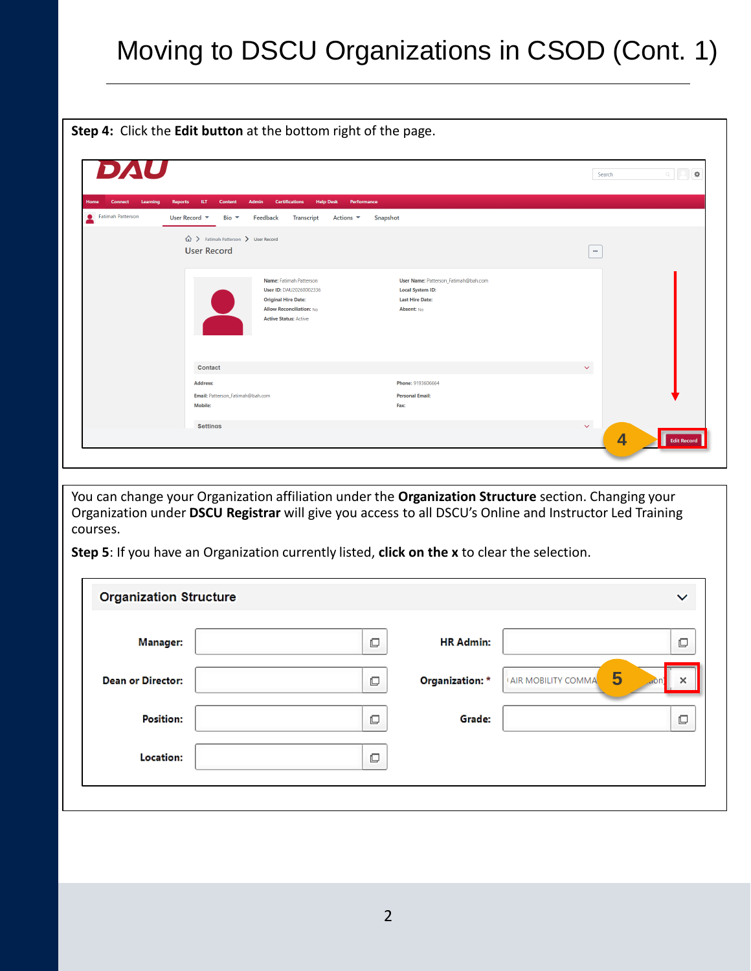# Moving to DSCU Organizations in CSOD (Cont. 1)

**Step 4:** Click the **Edit button** at the bottom right of the page.

| DAU                                |                                                                          |                                                                                                                                                     |                                                                                                         | Search                                  | $\mathfrak{S}$<br>$\mathbb{Q}_-$ |
|------------------------------------|--------------------------------------------------------------------------|-----------------------------------------------------------------------------------------------------------------------------------------------------|---------------------------------------------------------------------------------------------------------|-----------------------------------------|----------------------------------|
| Learning<br>Home<br><b>Connect</b> | ILT.<br>Admin<br><b>Reports</b><br>Content                               | <b>Help Desk</b><br><b>Certifications</b>                                                                                                           | Performance                                                                                             |                                         |                                  |
| Fatimah Patterson                  | User Record $\blacktriangledown$<br>Bio $\blacktriangledown$<br>Feedback | Transcript<br>Actions $\blacktriangledown$                                                                                                          | Snapshot                                                                                                |                                         |                                  |
|                                    | △ > Fatimah Patterson > User Record<br><b>User Record</b>                |                                                                                                                                                     |                                                                                                         | $\cdots$                                |                                  |
|                                    |                                                                          | Name: Fatimah Patterson<br>User ID: DAU20260002336<br><b>Original Hire Date:</b><br><b>Allow Reconciliation: No</b><br><b>Active Status: Active</b> | User Name: Patterson_Fatimah@bah.com<br><b>Local System ID:</b><br><b>Last Hire Date:</b><br>Absent: No |                                         |                                  |
|                                    | <b>Contact</b>                                                           |                                                                                                                                                     |                                                                                                         | $\checkmark$                            |                                  |
|                                    | <b>Address:</b>                                                          |                                                                                                                                                     | Phone: 9193606664                                                                                       |                                         |                                  |
|                                    | Email: Patterson_Fatimah@bah.com<br>Mobile:                              |                                                                                                                                                     | <b>Personal Email:</b><br>Fax:                                                                          |                                         |                                  |
|                                    | <b>Settings</b>                                                          |                                                                                                                                                     |                                                                                                         | $\checkmark$<br>$\overline{\mathbf{4}}$ | <b>Edit Record</b>               |

You can change your Organization affiliation under the **Organization Structure** section. Changing your Organization under **DSCU Registrar** will give you access to all DSCU's Online and Instructor Led Training courses.

**Step 5**: If you have an Organization currently listed, **click on the x** to clear the selection.

| <b>Organization Structure</b> |           |                  | $\checkmark$                          |
|-------------------------------|-----------|------------------|---------------------------------------|
| <b>Manager:</b>               | $\Box$    | <b>HR Admin:</b> | $\Box$                                |
| <b>Dean or Director:</b>      | $\square$ | Organization: *  | 5<br>AIR MOBILITY COMMA<br>×<br>. ror |
| <b>Position:</b>              | $\Box$    | Grade:           | $\Box$                                |
| Location:                     | $\Box$    |                  |                                       |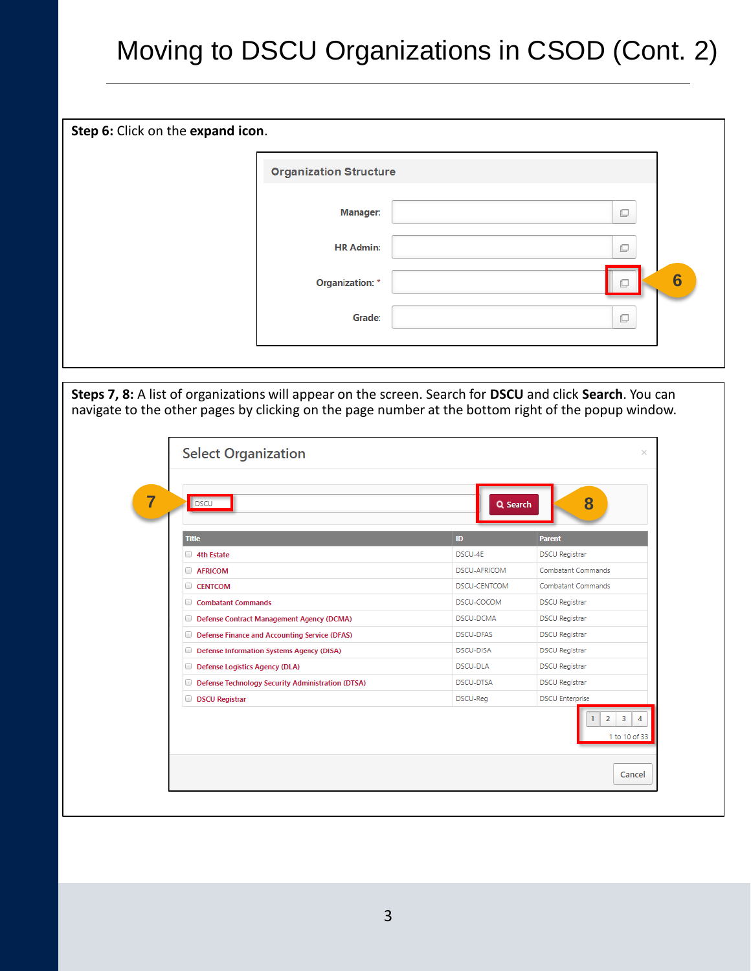# Moving to DSCU Organizations in CSOD (Cont. 2)

| Step 6: Click on the expand icon. |                               |   |   |
|-----------------------------------|-------------------------------|---|---|
|                                   | <b>Organization Structure</b> |   |   |
|                                   | <b>Manager:</b>               | c |   |
|                                   | <b>HR Admin:</b>              | c |   |
|                                   | <b>Organization: *</b>        | o | 6 |
|                                   | Grade:                        | Ō |   |
|                                   |                               |   |   |

**Steps 7, 8:** A list of organizations will appear on the screen. Search for **DSCU** and click **Search**. You can navigate to the other pages by clicking on the page number at the bottom right of the popup window.

| DSCU                                                     | Q Search            | 8                                    |
|----------------------------------------------------------|---------------------|--------------------------------------|
| <b>Title</b>                                             | ID                  | <b>Parent</b>                        |
| 4th Estate                                               | DSCU-4E             | <b>DSCU Registrar</b>                |
| <b>AFRICOM</b>                                           | DSCU-AFRICOM        | Combatant Commands                   |
| <b>CENTCOM</b>                                           | <b>DSCU-CENTCOM</b> | Combatant Commands                   |
| Combatant Commands                                       | DSCU-COCOM          | <b>DSCU Registrar</b>                |
| Defense Contract Management Agency (DCMA)                | DSCU-DCMA           | <b>DSCU Registrar</b>                |
| <b>Defense Finance and Accounting Service (DFAS)</b>     | DSCU-DFAS           | <b>DSCU Registrar</b>                |
| Defense Information Systems Agency (DISA)                | <b>DSCU-DISA</b>    | <b>DSCU Registrar</b>                |
| Defense Logistics Agency (DLA)                           | DSCU-DLA            | <b>DSCU Registrar</b>                |
| <b>Defense Technology Security Administration (DTSA)</b> | DSCU-DTSA           | <b>DSCU Registrar</b>                |
| <b>DSCU Registrar</b>                                    | DSCU-Reg            | <b>DSCU Enterprise</b>               |
|                                                          |                     | 3<br>$\overline{2}$<br>1 to 10 of 33 |